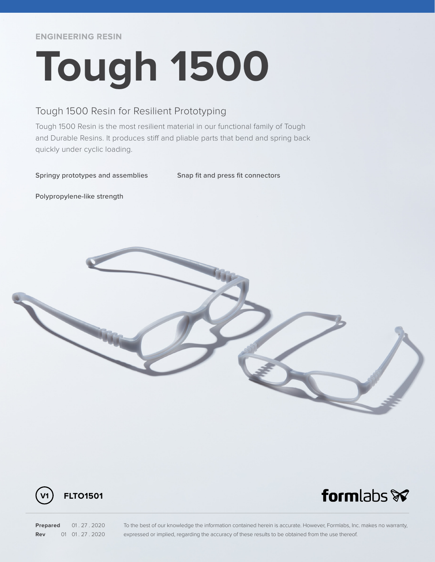#### **ENGINEERING RESIN**

# **Tough 1500**

### Tough 1500 Resin for Resilient Prototyping

Tough 1500 Resin is the most resilient material in our functional family of Tough and Durable Resins. It produces stiff and pliable parts that bend and spring back quickly under cyclic loading.

Springy prototypes and assemblies Snap fit and press fit connectors

Polypropylene-like strength







**Prepared** 01 . 27 . 2020 **Rev** 01 01.27.2020

To the best of our knowledge the information contained herein is accurate. However, Formlabs, Inc. makes no warranty, expressed or implied, regarding the accuracy of these results to be obtained from the use thereof.